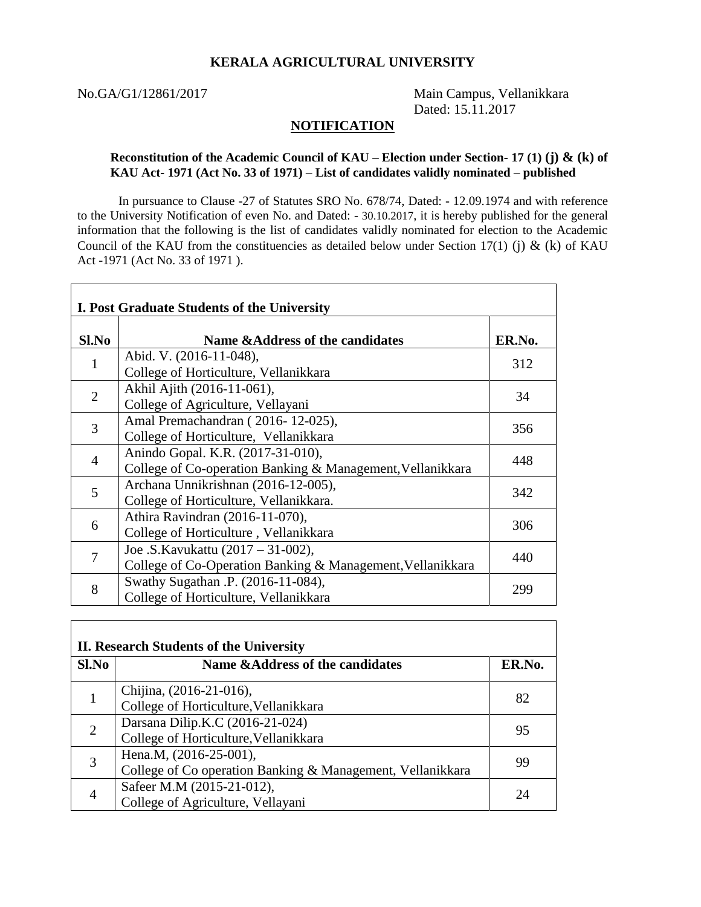## **KERALA AGRICULTURAL UNIVERSITY**

Г

No.GA/G1/12861/2017 Main Campus, Vellanikkara Dated: 15.11.2017

 $\overline{\phantom{0}}$ 

## **NOTIFICATION**

## **Reconstitution of the Academic Council of KAU – Election under Section- 17 (1) (j) & (k) of KAU Act- 1971 (Act No. 33 of 1971) – List of candidates validly nominated – published**

In pursuance to Clause -27 of Statutes SRO No. 678/74, Dated: - 12.09.1974 and with reference to the University Notification of even No. and Dated: - 30.10.2017, it is hereby published for the general information that the following is the list of candidates validly nominated for election to the Academic Council of the KAU from the constituencies as detailed below under Section 17(1) (j)  $\&$  (k) of KAU Act -1971 (Act No. 33 of 1971 ).

| $Sl$ . No      | Name &Address of the candidates                            | ER.No. |
|----------------|------------------------------------------------------------|--------|
|                | Abid. V. (2016-11-048),                                    | 312    |
|                | College of Horticulture, Vellanikkara                      |        |
| 2              | Akhil Ajith (2016-11-061),                                 | 34     |
|                | College of Agriculture, Vellayani                          |        |
| 3              | Amal Premachandran (2016-12-025),                          | 356    |
|                | College of Horticulture, Vellanikkara                      |        |
| $\overline{4}$ | Anindo Gopal. K.R. (2017-31-010),                          | 448    |
|                | College of Co-operation Banking & Management, Vellanikkara |        |
| 5              | Archana Unnikrishnan (2016-12-005),                        | 342    |
|                | College of Horticulture, Vellanikkara.                     |        |
| 6              | Athira Ravindran (2016-11-070),                            | 306    |
|                | College of Horticulture, Vellanikkara                      |        |
| $\overline{7}$ | Joe .S. Kavukattu (2017 – 31-002),                         | 440    |
|                | College of Co-Operation Banking & Management, Vellanikkara |        |
| 8              | Swathy Sugathan .P. (2016-11-084),                         |        |
|                | College of Horticulture, Vellanikkara                      | 299    |

| II. Research Students of the University |                                                                                      |        |  |
|-----------------------------------------|--------------------------------------------------------------------------------------|--------|--|
| Sl.No                                   | Name & Address of the candidates                                                     | ER.No. |  |
|                                         | Chijina, (2016-21-016),<br>College of Horticulture, Vellanikkara                     | 82     |  |
| $\overline{2}$                          | Darsana Dilip.K.C (2016-21-024)<br>College of Horticulture, Vellanikkara             | 95     |  |
| 3                                       | Hena.M, (2016-25-001),<br>College of Co operation Banking & Management, Vellanikkara | 99     |  |
|                                         | Safeer M.M (2015-21-012),<br>College of Agriculture, Vellayani                       | 7Δ     |  |